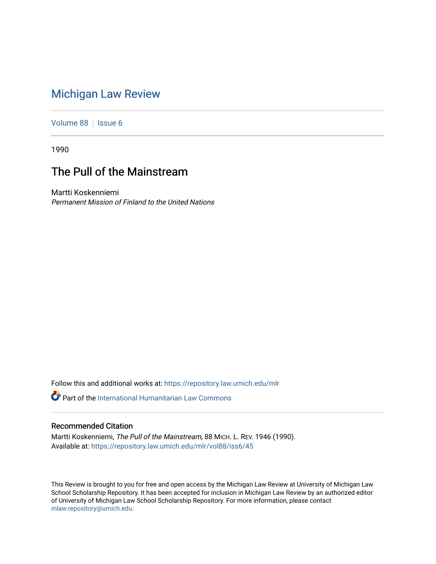# [Michigan Law Review](https://repository.law.umich.edu/mlr)

[Volume 88](https://repository.law.umich.edu/mlr/vol88) | [Issue 6](https://repository.law.umich.edu/mlr/vol88/iss6)

1990

# The Pull of the Mainstream

Martti Koskenniemi Permanent Mission of Finland to the United Nations

Follow this and additional works at: [https://repository.law.umich.edu/mlr](https://repository.law.umich.edu/mlr?utm_source=repository.law.umich.edu%2Fmlr%2Fvol88%2Fiss6%2F45&utm_medium=PDF&utm_campaign=PDFCoverPages) 

 $\bullet$  Part of the [International Humanitarian Law Commons](http://network.bepress.com/hgg/discipline/1330?utm_source=repository.law.umich.edu%2Fmlr%2Fvol88%2Fiss6%2F45&utm_medium=PDF&utm_campaign=PDFCoverPages)

### Recommended Citation

Martti Koskenniemi, The Pull of the Mainstream, 88 MICH. L. REV. 1946 (1990). Available at: [https://repository.law.umich.edu/mlr/vol88/iss6/45](https://repository.law.umich.edu/mlr/vol88/iss6/45?utm_source=repository.law.umich.edu%2Fmlr%2Fvol88%2Fiss6%2F45&utm_medium=PDF&utm_campaign=PDFCoverPages) 

This Review is brought to you for free and open access by the Michigan Law Review at University of Michigan Law School Scholarship Repository. It has been accepted for inclusion in Michigan Law Review by an authorized editor of University of Michigan Law School Scholarship Repository. For more information, please contact [mlaw.repository@umich.edu.](mailto:mlaw.repository@umich.edu)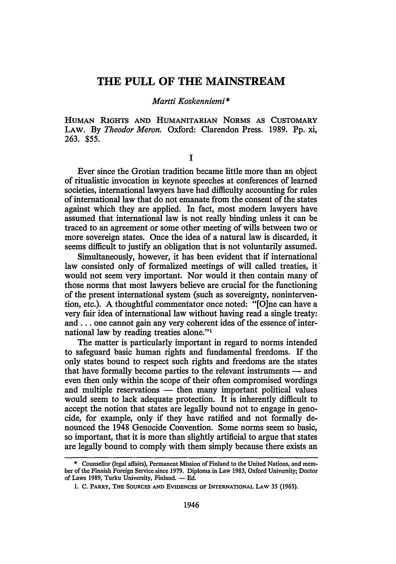## **THE PULL OF THE MAINSTREAM**

### *Martti Koskenniemi* \*

HUMAN RIGHTS AND HUMANITARIAN NORMS AS CUSTOMARY LAW. By *Theodor Meron.* Oxford: Clarendon Press. 1989. Pp. xi, 263. \$55.

I

Ever since the Grotian tradition became little more than an object of ritualistic invocation in keynote speeches at conferences of learned societies, international lawyers have had difficulty accounting for rules of international law that do not emanate from the consent of the states against which they are applied. In fact, most modem lawyers have assumed that international law is not really binding unless it can be traced to an agreement or some other meeting of wills between two or more sovereign states. Once the idea of a natural law is discarded, it seems difficult to justify an obligation that is not voluntarily assumed.

Simultaneously, however, it has been evident that if international law consisted only of formalized meetings of will called treaties, it would not seem very important. Nor would it then contain many of those norms that most lawyers believe are crucial for the functioning of the present international system (such as sovereignty, nonintervention, etc.). A thoughtful commentator once noted: "[O]ne can have a very fair idea of international law without having read a single treaty: and ... one cannot gain any very coherent idea of the essence of international law by reading treaties alone."<sup>1</sup>

The matter is particularly important in regard to norms intended to safeguard basic human rights and fundamental freedoms. If the only states bound to respect such rights and freedoms are the states that have formally become parties to the relevant instruments  $-$  and even then only within the scope of their often compromised wordings and multiple reservations  $-$  then many important political values would seem to lack adequate protection. It is inherently difficult to accept the notion that states are legally bound not to engage in genocide, for example, only if they have ratified and not formally denounced the 1948 Genocide Convention. Some norms seem so basic, so important, that it is more than slightly artificial to argue that states are legally bound to comply with them simply because there exists an

<sup>\*</sup> Counsellor (legal affairs), Permanent Mission of Finland to the United Nations, and member of the Finnish Foreign Service since 1979. Diploma in Law 1983, Oxford University; Doctor of Laws 1989, Turku University, Finland. - Ed.

<sup>1.</sup> C. PARRY, THE SOURCES AND EVIDENCES OF INTERNATIONAL LAW 35 (1965).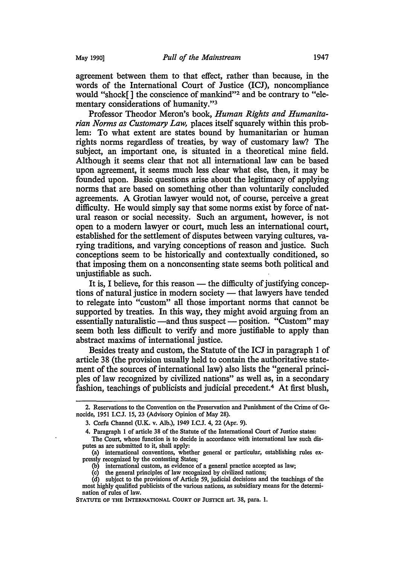agreement between them to that effect, rather than because, in the words of the International Court of Justice (ICJ), noncompliance would "shock[ ] the conscience of mankind"2 and be contrary to "elementary considerations of humanity."3

Professor Theodor Meron's book, *Human Rights and Humanitarian Norms as Customary Law,* places itself squarely within this problem: To what extent are states bound by humanitarian or human rights norms regardless of treaties, by way of customary law? The subject, an important one, is situated in a theoretical mine field. Although it seems clear that not all international law can be based upon agreement, it seems much less clear what else, then, it may be founded upon. Basic questions arise about the legitimacy of applying norms that are based on something other than voluntarily concluded agreements. A Grotian lawyer would not, of course, perceive a great difficulty. He would simply say that some norms exist by force of natural reason or social necessity. Such an argument, however, is not open to a modern lawyer or court, much less an international court, established for the settlement of disputes between varying cultures, varying traditions, and varying conceptions of reason and justice. Such conceptions seem to be historically and contextually conditioned, so that imposing them on a nonconsenting state seems both political and unjustifiable as such.

It is, I believe, for this reason  $-$  the difficulty of justifying conceptions of natural justice in modern society — that lawyers have tended to relegate into "custom" all those important norms that cannot be supported by treaties. In this way, they might avoid arguing from an essentially naturalistic -and thus suspect - position. "Custom" may seem both less difficult to verify and more justifiable to apply than abstract maxims of international justice.

Besides treaty and custom, the Statute of the ICJ in paragraph 1 of article 38 (the provision usually held to contain the authoritative statement of the sources of international law) also lists the "general principles of law recognized by civilized nations" as well as, in a secondary fashion, teachings of publicists and judicial precedent.<sup>4</sup> At first blush,

<sup>2.</sup> Reservations to the Convention on the Preservation and Punishment of the Crime of Genocide, 1951 I.C.J. 15, 23 (Advisory Opinion of May 28).

<sup>3.</sup> Corfu Channel (U.K. v. Alb.), 1949 I.C.J. 4, 22 (Apr. 9).

<sup>4.</sup> Paragraph 1 of article 38 of the Statute of the International Court of Justice states:

The Court, whose function is to decide in accordance with international law such disputes as are submitted to it, shall apply:

<sup>(</sup>a) international conventions, whether general or particular, establishing rules expressly recognized by the contesting States;

<sup>(</sup>b) international custom, as evidence of a general practice accepted as law;

<sup>(</sup>c) the general principles of law recognized by civilized nations;

<sup>(</sup>d) subject to the provisions of Article 59, judicial decisions and the teachings of the most highly qualified publicists of the various nations, as subsidiary means for the determination of rules of law.

STATUTE OF THE INTERNATIONAL COURT OF JUSTICE art. 38, para. 1.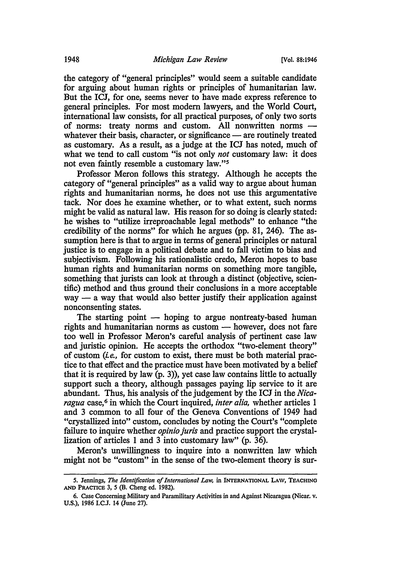the category of "general principles" would seem a suitable candidate for arguing about human rights or principles of humanitarian law. But the ICJ, for one, seems never to have made express reference to general principles. For most modern lawyers, and the World Court, international law consists, for all practical purposes, of only two sorts of norms: treaty norms and custom. All nonwritten norms  $$ whatever their basis, character, or significance  $-$  are routinely treated as customary. As a result, as a judge at the ICJ has noted, much of what we tend to call custom "is not only *not* customary law: it does not even faintly resemble a customary law."5

Professor Meron follows this strategy. Although he accepts the category of "general principles" as a valid way to argue about human rights and humanitarian norms, he does not use this argumentative tack. Nor does he examine whether, or to what extent, such norms might be valid as natural law. His reason for so doing is clearly stated: he wishes to "utilize irreproachable legal methods" to enhance "the credibility of the norms'' for which he argues (pp. 81, 246). The assumption here is that to argue in terms of general principles or natural justice is to engage in a political debate and to fall victim to bias and subjectivism. Following his rationalistic credo, Meron hopes to base human rights and humanitarian norms on something more tangible, something that jurists can look at through a distinct {objective, scientific) method and thus ground their conclusions in a more acceptable  $way - a way that would also better justify their application against$ nonconsenting states.

The starting point  $-$  hoping to argue nontreaty-based human rights and humanitarian norms as custom  $-$  however, does not fare too well in Professor Meron's careful analysis of pertinent case law and juristic opinion. He accepts the orthodox "two-element theory" of custom *(i.e.,* for custom to exist, there must be both material practice to that effect and the practice must have been motivated by a belief that it is required by law  $(p, 3)$ , yet case law contains little to actually support such a theory, although passages paying lip service to it are abundant. Thus, his analysis of the judgement by the ICJ in the *Nicaragua* case,<sup>6</sup> in which the Court inquired, *inter alia*, whether articles 1 and 3 common to all four of the Geneva Conventions of 1949 had "crystallized into" custom, concludes by noting the Court's "complete failure to inquire whether *opinio juris* and practice support the crystallization of articles 1 and 3 into customary law" (p. 36).

Meron's unwillingness to inquire into a nonwritten law which might not be "custom" in the sense of the two-element theory is sur-

<sup>5.</sup> Jennings, *The Identification of International Law,* in INTERNATIONAL LAW, TEACHING AND PRACTICE 3, *5* (B. Cheng ed. 1982).

<sup>6.</sup> Case Concerning Military and Paramilitary Activities in and Against Nicaragua (Nicar. v. U.S.), 1986 I.C.J. 14 (June 27).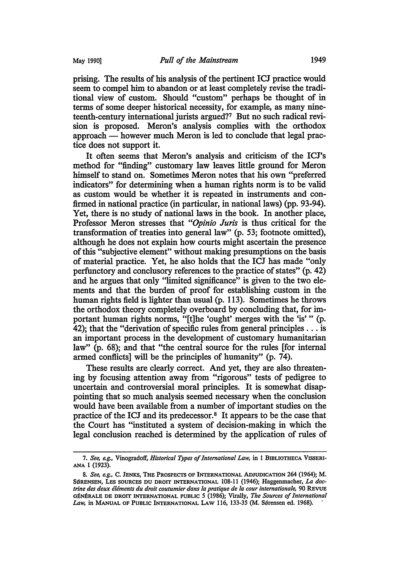prising. The results of his analysis of the pertinent ICJ practice would seem to compel him to abandon or at least completely revise the traditional view of custom. Should "custom" perhaps be thought of in terms of some deeper historical necessity, for example, as many nineteenth-century international jurists argued?7 But no such radical revision is proposed. Meron's analysis complies with the orthodox  $approach$  — however much Meron is led to conclude that legal practice does not support it.

It often seems that Meron's analysis and criticism of the ICJ's method for "finding" customary law leaves little ground for Meron himself to stand on. Sometimes Meron notes that his own "preferred indicators" for determining when a human rights norm is to be valid as custom would be whether it is repeated in instruments and confirmed in national practice (in particular, in national laws) (pp. 93-94). Yet, there is no study of national laws in the book. In another place, Professor Meron stresses that *"Opinio Juris* is thus critical for the transformation of treaties into general law" (p. 53; footnote omitted), although he does not explain how courts might ascertain the presence of this "subjective element" without making presumptions on the basis of material practice. Yet, he also holds that the ICJ has made "only perfunctory and conclusory references to the practice of states" (p. 42) and he argues that only "limited significance" is given to the two elements and that the burden of proof for establishing custom in the human rights field is lighter than usual (p. 113). Sometimes he throws the orthodox theory completely overboard by concluding that, for important human rights norms, "[t]he 'ought' merges with the 'is' " (p. 42); that the "derivation of specific rules from general principles  $\dots$  is an important process in the development of customary humanitarian law" (p. 68); and that "the central source for the rules [for internal armed conflicts] will be the principles of humanity" (p. 74).

These results are clearly correct. And yet, they are also threatening by focusing attention away from "rigorous" tests of pedigree to uncertain and controversial moral principles. It is somewhat disappointing that so much analysis seemed necessary when the conclusion would have been available from a number of important studies on the practice of the ICJ and its predecessor. 8 It appears to be the case that the Court has "instituted a system of decision-making in which the legal conclusion reached is determined by the application of rules of

<sup>7.</sup> *See, e.g.,* Vinogradoff, *Historical Types of International Law,* in 1 BIBLIOTHECA VISSERI-ANA 1 (1923).

<sup>8.</sup> *See, e.g.,* c. JENKS, THE PROSPECTS OF INTERNATIONAL ADJUDICATION 264 (1964); M. SØRENSEN, LES SOURCES DU DROIT INTERNATIONAL 108-11 (1946); Haggenmacher, *La doctrine des deux elements du droit coutumier dans la pratique de la cour intemationale,* 90 REVUE GENERALE DE DROIT INTERNATIONAL PUBLIC 5 (1986); Virally, *The Sources of International*  Law, in MANUAL OF PUBLIC INTERNATIONAL LAW 116, 133-35 (M. Sørensen ed. 1968).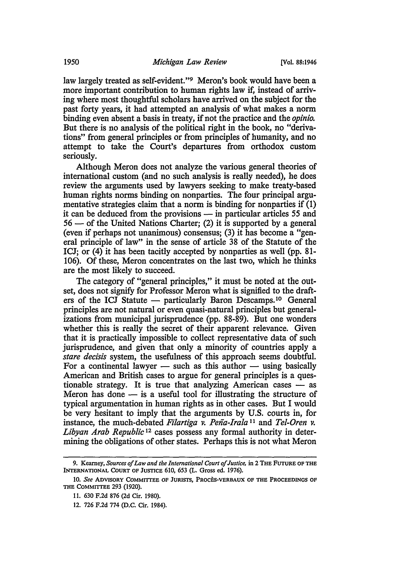law largely treated as self-evident."9 Meron's book would have been a more important contribution to human rights law if, instead of arriving where most thoughtful scholars have arrived on the subject for the past forty years, it had attempted an analysis of what makes a norm binding even absent a basis in treaty, if not the practice and the *opinio.*  But there is no analysis of the political right in the book, no "derivations" from general principles or from principles of humanity, and no attempt to take the Court's departures from orthodox custom seriously.

Although Meron does not analyze the various general theories of international custom (and no such analysis is really needed), he does review the arguments used by lawyers seeking to make treaty-based human rights norms binding on nonparties. The four principal argumentative strategies claim that a norm is binding for nonparties if (1) it can be deduced from the provisions — in particular articles 55 and  $56$  — of the United Nations Charter; (2) it is supported by a general (even if perhaps not unanimous) consensus; (3) it has become a "general principle of law" in the sense of article 38 of the Statute of the ICJ; or (4) it has been tacitly accepted by nonparties as well (pp. 81- 106). Of these, Meron concentrates on the last two, which he thinks are the most likely to succeed.

The category of "general principles," it must be noted at the outset, does not signify for Professor Meron what is signified to the drafters of the ICJ Statute  $-$  particularly Baron Descamps.<sup>10</sup> General principles are not natural or even quasi-natural principles but generalizations from municipal jurisprudence (pp. 88-89). But one wonders whether this is really the secret of their apparent relevance. Given that it is practically impossible to collect representative data of such jurisprudence, and given that only a minority of countries apply a *stare decisis* system, the usefulness of this approach seems doubtful. For a continental lawyer  $-$  such as this author  $-$  using basically American and British cases to argue for general principles is a questionable strategy. It is true that analyzing American cases  $-$  as Meron has done  $-$  is a useful tool for illustrating the structure of typical argumentation in human rights as in other cases. But I would be very hesitant to imply that the arguments by U.S. courts in, for instance, the much-debated *Filartiga v. Pena-Ira/a* 11 and *Tel-Oren v. Libyan Arab Republic* 12 cases possess any formal authority in determining the obligations of other states. Perhaps this is not what Meron

<sup>9.</sup> Kearney, *Sources of Law and the International Court of Justice,* in 2 THE FUTURE OF THE INTERNATIONAL CoURT OF JUSTICE 610, 653 (L. Gross ed. 1976).

<sup>10.</sup> *See* ADVISORY CoMMITTEE OF JURISTS, PROCEs-VERBAUX OF THE PROCEEDINGS OF THE COMMITTEE 293 (1920).

<sup>11. 630</sup> F.2d 876 (2d Cir. 1980).

<sup>12. 726</sup> F.2d 774 (D.C. Cir. 1984).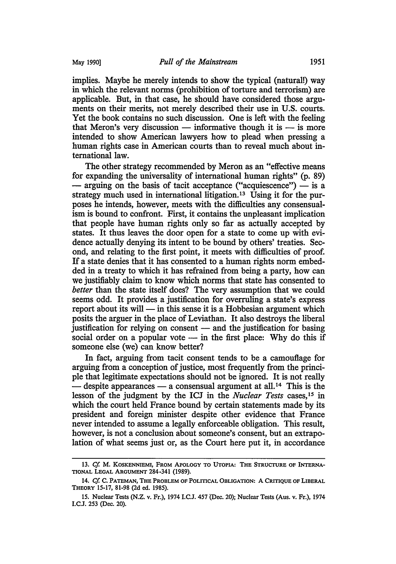implies. Maybe he merely intends to show the typical (natural!) way in which the relevant norms (prohibition of torture and terrorism) are applicable. But, in that case, he should have considered those arguments on their merits, not merely described their use in U.S. courts. Yet the book contains no such discussion. One is left with the feeling that Meron's very discussion  $-$  informative though it is  $-$  is more intended to show American lawyers how to plead when pressing a human rights case in American courts than to reveal much about international law.

The other strategy recommended by Meron as an "effective means for expanding the universality of international human rights" (p. 89)  $-$  arguing on the basis of tacit acceptance ("acquiescence")  $-$  is a strategy much used in international litigation.<sup>13</sup> Using it for the purposes he intends, however, meets with the difficulties any consensualism is bound to confront. First, it contains the unpleasant implication that people have human rights only so far as actually accepted by states. It thus leaves the door open for a state to come up with evidence actually denying its intent to be bound by others' treaties. Second, and relating to the first point, it meets with difficulties of proof. If a state denies that it has consented to a human rights norm embedded in a treaty to which it has refrained from being a party, how can we justifiably claim to know which norms that state has consented to *better* than the state itself does? The very assumption that we could seems odd. It provides a justification for overruling a state's express report about its will  $-$  in this sense it is a Hobbesian argument which posits the arguer in the place of Leviathan. It also destroys the liberal justification for relying on consent — and the justification for basing social order on a popular vote  $-$  in the first place: Why do this if someone else (we) can know better?

In fact, arguing from tacit consent tends to be a camouflage for arguing from a conception of justice, most frequently from the principle that legitimate expectations should not be ignored. It is not really  $-$  despite appearances  $-$  a consensual argument at all.<sup>14</sup> This is the lesson of the judgment by the ICJ in the *Nuclear Tests* cases, 15 in which the court held France bound by certain statements made by its president and foreign minister despite other evidence that France never intended to assume a legally enforceable obligation. This result, however, is not a conclusion about someone's consent, but an extrapolation of what seems just or, as the Court here put it, in accordance

<sup>13.</sup> *Cf* M. KOSKENNIEMI, FROM APOLOGY TO UTOPIA: THE STRUCTURE OF INTERNA-TIONAL LEGAL ARGUMENT 284-341 (1989).

<sup>14.</sup> Cf. C. PATEMAN, THE PROBLEM OF POLITICAL OBLIGATION: A CRITIQUE OF LIBERAL THEORY 15-17, 81-98 (2d ed. 1985).

<sup>15.</sup> Nuclear Tests (N.Z. v. Fr.), 1974 I.C.J. 457 {Dec. 20); Nuclear Tests (Aus. v. Fr.), 1974 I.C.J. 253 (Dec. 20).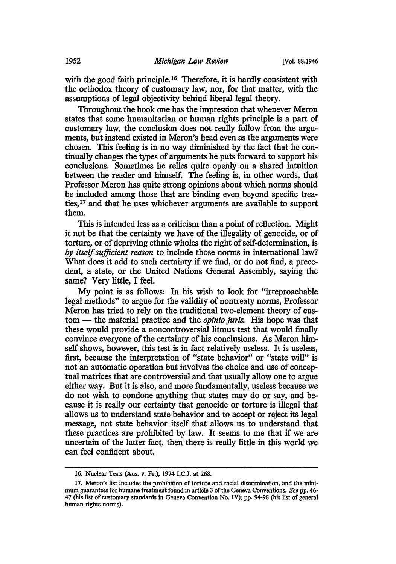with the good faith principle.<sup>16</sup> Therefore, it is hardly consistent with the orthodox theory of customary law, nor, for that matter, with the assumptions of legal objectivity behind liberal legal theory.

Throughout the book one has the impression that whenever Meron states that some humanitarian or human rights principle is a part of customary law, the conclusion does not really follow from the arguments, but instead existed in Meron's head even as the arguments were chosen. This feeling is in no way diminished by the fact that he continually changes the types of arguments he puts forward to support his conclusions. Sometimes he relies quite openly on a shared intuition between the reader and himself. The feeling is, in other words, that Professor Meron has quite strong opinions about which norms should be included among those that are binding even beyond specific treaties, 17 and that he uses whichever arguments are available to support them.

This is intended less as a criticism than a point of reflection. Might it not be that the certainty we have of the illegality of genocide, or of torture, or of depriving ethnic wholes the right of self-determination, is *by itself sufficient reason* to include those norms in international law? What does it add to such certainty if we find, or do not find, a precedent, a state, or the United Nations General Assembly, saying the same? Very little, I feel.

My point is as follows: In his wish to look for "irreproachable legal methods" to argue for the validity of nontreaty norms, Professor Meron has tried to rely on the traditional two-element theory of custom — the material practice and the *opinio juris*. His hope was that these would provide a noncontroversial litmus test that would finally convince everyone of the certainty of his conclusions. As Meron himself shows, however, this test is in fact relatively useless. It is useless, first, because the interpretation of "state behavior" or "state will" is not an automatic operation but involves the choice and use of conceptual matrices that are controversial and that usually allow one to argue either way. But it is also, and more fundamentally, useless because we do not wish to condone anything that states may do or say, and because it is really our certainty that genocide or torture is illegal that allows us to understand state behavior and to accept or reject its legal message, not state behavior itself that allows us to understand that these practices are prohibited by law. It seems to me that if we are uncertain of the latter fact, then there is really little in this world we can feel confident about.

<sup>16.</sup> Nuclear Tests (Aus. v. Fr.), 1974 I.C.J. at 268.

<sup>17.</sup> Meron's list includes the prohibition of torture and racial discrimination, and the minimum guarantees for humane treatment found in article 3 of the Geneva Conventions. *See* pp. 46- 47 (his list of customary standards in Geneva Convention No. IV); pp. 94-98 (his list of general human rights norms).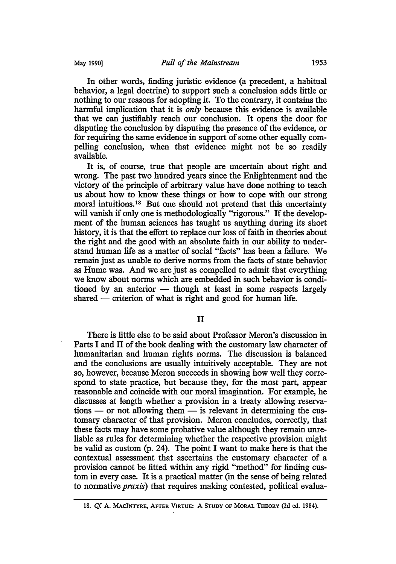In other words, finding juristic evidence (a precedent, a habitual behavior, a legal doctrine) to support such a conclusion adds little or nothing to our reasons for adopting it. To the contrary, it contains the harmful implication that it is *only* because this evidence is available that we can justifiably reach our conclusion. It opens the door for disputing the conclusion by disputing the presence of the evidence, or for requiring the same evidence in support of some other equally compelling conclusion, when that evidence might not be so readily available.

It is, of course, true that people are uncertain about right and wrong. The past two hundred years since the Enlightenment and the victory of the principle of arbitrary value have done nothing to teach us about how to know these things or how to cope with our strong moral intuitions. 18 But one should not pretend that this uncertainty will vanish if only one is methodologically "rigorous." If the development of the human sciences has taught us anything during its short history, it is that the effort to replace our loss of faith in theories about the right and the good with an absolute faith in our ability to understand human life as a matter of social "facts" has been a failure. We remain just as unable to derive norms from the facts of state behavior as Hume was. And we are just as compelled to admit that everything we know about norms which are embedded in such behavior is conditioned by an anterior — though at least in some respects largely shared  $-$  criterion of what is right and good for human life.

II

There is little else to be said about Professor Meron's discussion in Parts I and II of the book dealing with the customary law character of humanitarian and human rights norms. The discussion is balanced and the conclusions are usually intuitively acceptable. They are not so, however, because Meron succeeds in showing how well they correspond to state practice, but because they, for the most part, appear reasonable and coincide with our moral imagination. For example, he discusses at length whether a provision in a treaty allowing reserva $tions$  — or not allowing them — is relevant in determining the customary character of that provision. Meron concludes, correctly, that these facts may have some probative value although they remain unreliable as rules for determining whether the respective provision might be valid as custom (p. 24). The point I want to make here is that the contextual assessment that ascertains the customary character of a provision cannot be fitted within any rigid "method" for finding custom in every case. It is a practical matter (in the sense of being related to normative *praxis)* that requires making contested, political evalua-

<sup>18.</sup> *Cf.* A. MACINTYRE, AFTER VIRTUE: A STUDY OF MORAL THEORY (2d ed. 1984).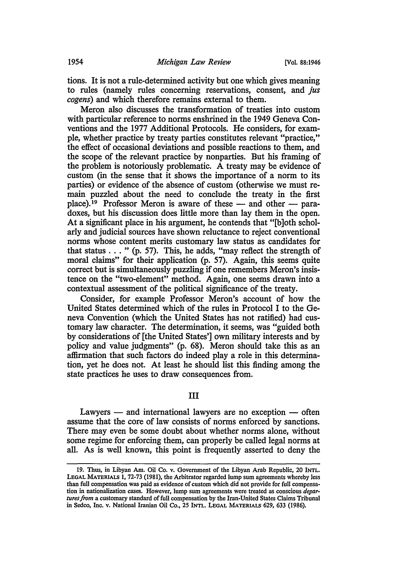tions. It is not a rule-determined activity but one which gives meaning to rules (namely rules concerning reservations, consent, and *jus cogens)* and which therefore remains external to them.

Meron also discusses the transformation of treaties into custom with particular reference to norms enshrined in the 1949 Geneva Conventions and the 1977 Additional Protocols. He considers, for example, whether practice by treaty parties constitutes relevant "practice," the effect of occasional deviations and possible reactions to them, and the scope of the relevant practice by nonparties. But his framing of the problem is notoriously problematic. A treaty may be evidence of custom (in the sense that it shows the importance of a norm to its parties) or evidence of the absence of custom (otherwise we must remain puzzled about the need to conclude the treaty in the first place).<sup>19</sup> Professor Meron is aware of these  $-$  and other  $-$  paradoxes, but his discussion does little more than lay them in the open. At a significant place in his argument, he contends that "[b]oth scholarly and judicial sources have shown reluctance to reject conventional norms whose content merits customary law status as candidates for that status  $\dots$  " (p. 57). This, he adds, "may reflect the strength of moral claims" for their application (p. 57). Again, this seems quite correct but is simultaneously puzzling if one remembers Meron's insistence on the "two-element" method. Again, one seems drawn into a contextual assessment of the political significance of the treaty.

Consider, for example Professor Meron's account of how the United States determined which of the rules in Protocol I to the Geneva Convention (which the United States has not ratified) had customary law character. The determination, it seems, was "guided both by considerations of [the United States'] own military interests and by policy and value judgments" (p. 68). Meron should take this as an affirmation that such factors do indeed play a role in this determination, yet he does not. At least he should list this finding among the state practices he uses to draw consequences from.

#### III

Lawyers  $-$  and international lawyers are no exception  $-$  often assume that the core of law consists of norms enforced by sanctions. There may even be some doubt about whether norms alone, without some regime for enforcing them, can properly be called legal norms at all. As is well known, this point is frequently asserted to deny the

<sup>19.</sup> Thus, in Libyan Am. Oil Co. v. Government of the Libyan Arab Republic, 20 INTL. LEGAL MATERIALS 1, 72-73 (1981), the Arbitrator regarded lump sum agreements whereby less than full compensation was paid as evidence of custom which did not provide for full compensation in nationalization cases. However, lump sum agreements were treated as conscious *depar tures from* a customary standard offull compensation by the Iran-United States Claims Tribunal in Sedco, Inc. v. National Iranian Oil Co., 25 INTL. LEGAL MATERIALS 629, 633 (1986).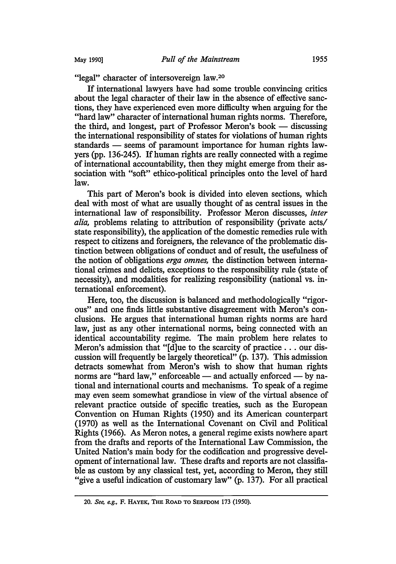"legal" character of intersovereign law.20

If international lawyers have had some trouble convincing critics about the legal character of their law in the absence of effective sanctions, they have experienced even more difficulty when arguing for the "hard law" character of international human rights norms. Therefore, the third, and longest, part of Professor Meron's book  $-$  discussing the international responsibility of states for violations of human rights standards - seems of paramount importance for human rights lawyers (pp. 136-245). If human rights are really connected with a regime of international accountability, then they might emerge from their association with "soft" ethico-political principles onto the level of hard law.

This part of Meron's book is divided into eleven sections, which deal with most of what are usually thought of as central issues in the international law of responsibility. Professor Meron discusses, *inter alia,* problems relating to attribution of responsibility (private acts/ state responsibility), the application of the domestic remedies rule with respect to citizens and foreigners, the relevance of the problematic distinction between obligations of conduct and of result, the usefulness of the notion of obligations *erga omnes,* the distinction between international crimes and delicts, exceptions to the responsibility rule (state of necessity), and modalities for realizing responsibility (national vs. international enforcement).

Here, too, the discussion is balanced and methodologically "rigorous" and one finds little substantive disagreement with Meron's conclusions. He argues that international human rights norms are hard law, just as any other international norms, being connected with an identical accountability regime. The main problem here relates to Meron's admission that "[d]ue to the scarcity of practice ... our discussion will frequently be largely theoretical" (p. 137). This admission detracts somewhat from Meron's wish to show that human rights norms are "hard law," enforceable - and actually enforced - by national and international courts and mechanisms. To speak of a regime may even seem somewhat grandiose in view of the virtual absence of relevant practice outside of specific treaties, such as the European Convention on Human Rights (1950) and its American counterpart (1970) as well as the International Covenant on Civil and Political Rights (1966). As Meron notes, a general regime exists nowhere apart from the drafts and reports of the International Law Commission, the United Nation's main body for the codification and progressive development of international law. These drafts and reports are not classifiable as custom by any classical test, yet, according to Meron, they still "give a useful indication of customary law" (p. 137). For all practical

<sup>20.</sup> *See, e.g .•* F. HAYEK, THE ROAD TO SERFDOM 173 (1950).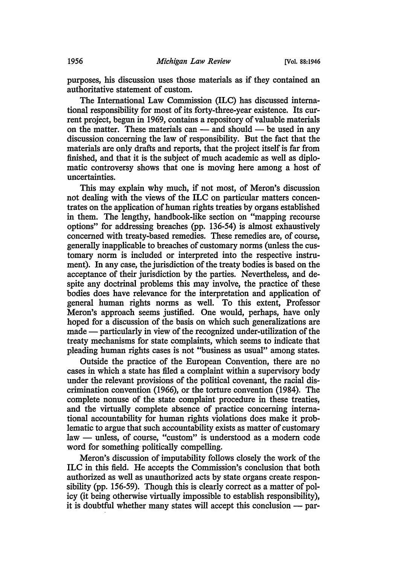purposes, his discussion uses those materials as if they contained an authoritative statement of custom.

The International Law Commission (ILC) has discussed international responsibility for most of its forty-three-year existence. Its current project, begun in 1969, contains a repository of valuable materials on the matter. These materials can  $-$  and should  $-$  be used in any discussion concerning the law of responsibility. But the fact that the materials are only drafts and reports, that the project itself is far from finished, and that it is the subject of much academic as well as diplomatic controversy shows that one is moving here among a host of uncertainties.

This may explain why much, if not most, of Meron's discussion not dealing with the views of the ILC on particular matters concentrates on the application of human rights treaties by organs established in them. The lengthy, handbook-like section on "mapping recourse options" for addressing breaches (pp. 136-54) is almost exhaustively concerned with treaty-based remedies. These remedies are, of course, generally inapplicable to breaches of customary norms (unless the customary norm is included or interpreted into the respective instrument). In any case, the jurisdiction of the treaty bodies is based on the acceptance of their jurisdiction by the parties. Nevertheless, and despite any doctrinal problems this may involve, the practice of these bodies does have relevance for the interpretation and application of general human rights norms as well. To this extent, Professor Meron's approach seems justified. One would, perhaps, have only hoped for a discussion of the basis on which such generalizations are made — particularly in view of the recognized under-utilization of the treaty mechanisms for state complaints, which seems to indicate that pleading human rights cases is not "business as usual" among states.

Outside the practice of the European Convention, there are no cases in which a state has filed a complaint within a supervisory body under the relevant provisions of the political covenant, the racial discrimination convention (1966), or the torture convention (1984). The complete nonuse of the state complaint procedure in these treaties, and the virtually complete absence of practice concerning international accountability for human rights violations does make it problematic to argue that such accountability exists as matter of customary law — unless, of course, "custom" is understood as a modern code word for something politically compelling.

Meron's discussion of imputability follows closely the work of the ILC in this field. He accepts the Commission's conclusion that both authorized as well as unauthorized acts by state organs create responsibility (pp. 156-59). Though this is clearly correct as a matter of policy (it being otherwise virtually impossible to establish responsibility), it is doubtful whether many states will accept this conclusion — par-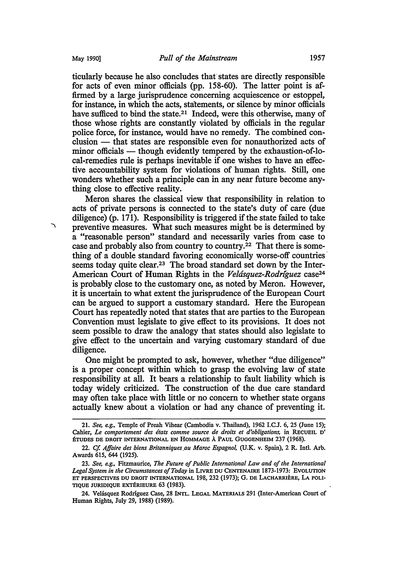ticularly because he also concludes that states are directly responsible for acts of even minor officials (pp. 158-60). The latter point is affirmed by a large jurisprudence concerning acquiescence or estoppel, for instance, in which the acts, statements, or silence by minor officials have sufficed to bind the state.<sup>21</sup> Indeed, were this otherwise, many of those whose rights are constantly violated by officials in the regular police force, for instance, would have no remedy. The combined conclusion — that states are responsible even for nonauthorized acts of minor officials — though evidently tempered by the exhaustion-of-local-remedies rule is perhaps inevitable if one wishes to have an effective accountability system for violations of human rights. Still, one wonders whether such a principle can in any near future become anything close to effective reality.

Meron shares the classical view that responsibility in relation to acts of private persons is connected to the state's duty of care (due diligence) (p. 171). Responsibility is triggered if the state failed to take preventive measures. What such measures might be is determined by a "reasonable person" standard and necessarily varies from case to case and probably also from country to country.22 That there is something of a double standard favoring economically worse-off countries seems today quite clear.<sup>23</sup> The broad standard set down by the Inter-American Court of Human Rights in the *Veldsquez-Rodrfguez* case24 is probably close to the customary one, as noted by Meron. However, it is uncertain to what extent the jurisprudence of the European Court can be argued to support a customary standard. Here the European Court has repeatedly noted that states that are parties to the European Convention must legislate to give effect to its provisions. It does not seem possible to draw the analogy that states should also legislate to give effect to the uncertain and varying customary standard of due diligence.

One might be prompted to ask, however, whether "due diligence" is a proper concept within which to grasp the evolving law of state responsibility at all. It bears a relationship to fault liability which is today widely criticized. The construction of the due care standard may often take place with little or no concern to whether state organs actually knew about a violation or had any chance of preventing it.

<sup>21.</sup> *See, e.g.,* Temple of Preah Vihear (Cambodia v. Thailand), 1962 l.C.J. 6, 25 (June 15); Cahier, *Le comportement des etats comme source de droits et d'obligations,* in RECUEIL D' ETUDES DE DROIT INTERNATIONAL EN HOMMAGE A PAUL GUGGENHEIM 237 (1968).

<sup>22.</sup> *Cf Affaire des biens Britanniques\_au Maroc Espagnol,* (U.K. v. Spain), 2 R. Intl. Arb. Awards 615, 644 (1925).

<sup>23.</sup> *See, e.g.,* Fitzmaurice, *The Future of Public International Law and of the International Legal System in the Circumstances of Today* in LIVRE DU CENTENAIRE 1873-1973: EVOLUTION ET PERSPECTIVES DU DROIT INTERNATIONAL 198, 232 (1973); G. DE LACHARRIERE, LA POLl-TIQUE JURIDIQUE EXTERIEURE 63 (1983).

<sup>24.</sup> Velasquez Rodriguez Case, 28 INTL. LEGAL MATERIALS 291 (Inter-American Court of Human Rights, July 29, 1988) (1989).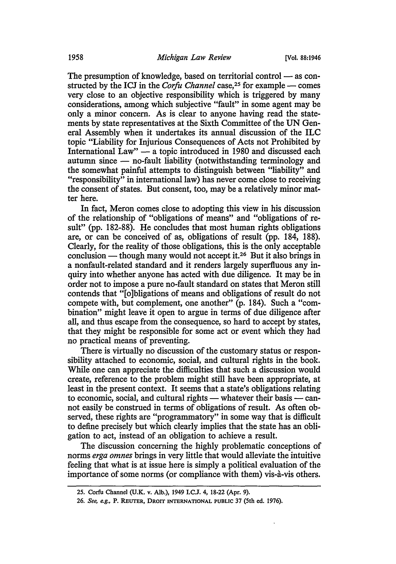The presumption of knowledge, based on territorial control  $-$  as constructed by the ICJ in the *Corfu Channel* case,<sup>25</sup> for example - comes very close to an objective responsibility which is triggered by many considerations, among which subjective "fault" in some agent may be only a minor concern. As is clear to anyone having read the statements by state representatives at the Sixth Committee of the UN General Assembly when it undertakes its annual discussion of the ILC topic "Liability for Injurious Consequences of Acts not Prohibited by International Law"  $-$  a topic introduced in 1980 and discussed each autumn since  $-$  no-fault liability (notwithstanding terminology and the somewhat painful attempts to distinguish between "liability" and "responsibility" in international law) has never come close to receiving the consent of states. But consent, *too,* may be a relatively minor matter here.

In fact, Meron comes close to adopting this view in his discussion of the relationship of "obligations of means" and "obligations of result" (pp. 182-88). He concludes that most human rights obligations are, or can be conceived of as, obligations of result (pp. 184, 188). Clearly, for the reality of those obligations, this is the only acceptable conclusion — though many would not accept it.<sup>26</sup> But it also brings in a nonfault-related standard and it renders largely superfluous any inquiry into whether anyone has acted with due diligence. It may be in order not to impose a pure no-fault standard on states that Meron still contends that "[o]bligations of means and obligations of result do not compete with, but complement, one another" (p. 184). Such a "combination" might leave it open to argue in terms of due diligence after all, and thus escape from the consequence, so hard to accept by states, that they might be responsible for some act or event which they had no practical means of preventing.

There is virtually no discussion of the customary status or responsibility attached to economic, social, and cultural rights in the book. While one can appreciate the difficulties that such a discussion would create, reference to the problem might still have been appropriate, at least in the present context. It seems that a state's obligations relating to economic, social, and cultural rights  $-$  whatever their basis  $-$  cannot easily be construed in terms of obligations of result. As often observed, these rights are "programmatory" in some way that is difficult to define precisely but which clearly implies that the state has an obligation to act, instead of an obligation to achieve a result.

The discussion concerning the highly problematic conceptions of norms *erga omnes* brings in very little that would alleviate the intuitive feeling that what is at issue here is simply a political evaluation of the importance of some norms (or compliance with them) vis-à-vis others.

<sup>25.</sup> Corfu Channel (U.K. v. Alb.), 1949 I.C.J. 4, 18-22 (Apr. 9).

<sup>26.</sup> *See, e.g.,* P. REUTER, DROIT INTERNATIONAL PUBLIC 37 (5th ed. 1976).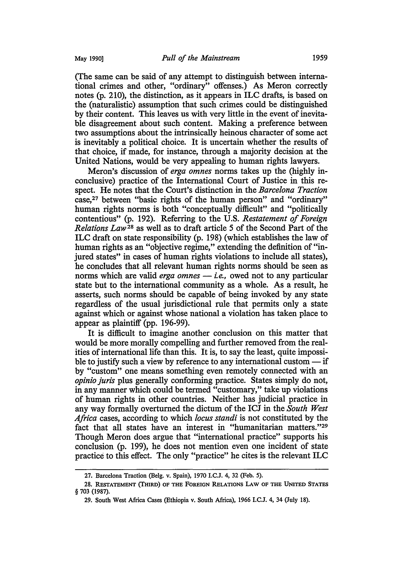(The same can be said of any attempt to distinguish between international crimes and other, "ordinary" offenses.) As Meron correctly notes (p. 210), the distinction, as it appears in ILC drafts, is based on the (naturalistic) assumption that such crimes could be distinguished by their content. This leaves us with very little in the event of inevitable disagreement about such content. Making a preference between two assumptions about the intrinsically heinous character of some act is inevitably a political choice. It is uncertain whether the results of that choice, if made, for instance, through a majority decision at the United Nations, would be very appealing to human rights lawyers.

Meron's discussion of *erga omnes* norms takes up the (highly inconclusive) practice of the International Court of Justice in this respect. He notes that the Court's distinction in the *Barcelona Traction*  case,27 between "basic rights of the human person" and "ordinary" human rights norms is both "conceptually difficult" and "politically contentious" (p. 192). Referring to the U.S. *Restatement of Foreign Relations Law* 28 as well as to draft article 5 of the Second Part of the ILC draft on state responsibility (p. 198) (which establishes the law of human rights as an "objective regime," extending the definition of "injured states" in cases of human rights violations to include all states), he concludes that all relevant human rights norms should be seen as norms which are valid *erga omnes* — *i.e.*, owed not to any particular state but to the international community as a whole. As a result, he asserts, such norms should be capable of being invoked by any state regardless of the usual jurisdictional rule that permits only a state against which or against whose national a violation has taken place to appear as plaintiff (pp. 196-99).

It is difficult to imagine another conclusion on this matter that would be more morally compelling and further removed from the realities of international life than this. It is, to say the least, quite impossible to justify such a view by reference to any international custom  $-$  if by "custom" one means something even remotely connected with an *opinio juris* plus generally conforming practice. States simply do not, in any manner which could be termed "customary," take up violations of human rights in other countries. Neither has judicial practice in any way formally overturned the dictum of the ICJ in the *South West Africa* cases, according to which *locus standi* is not constituted by the fact that all states have an interest in "humanitarian matters."29 Though Meron does argue that "international practice" supports his conclusion (p. 199), he does not mention even one incident of state practice to this effect. The only "practice" he cites is the relevant ILC

<sup>27.</sup> Barcelona Traction (Belg. v. Spain), 1970 I.C.J. 4, 32 (Feb. 5).

<sup>28.</sup> REsrATEMENT (THIRD) OF THE FOREIGN RELATIONS LAW OF THE UNITED STATES § 703 (1987).

<sup>29.</sup> South West Africa Cases (Ethiopia v. South Africa), 1966 I.C.J. 4, 34 (July 18).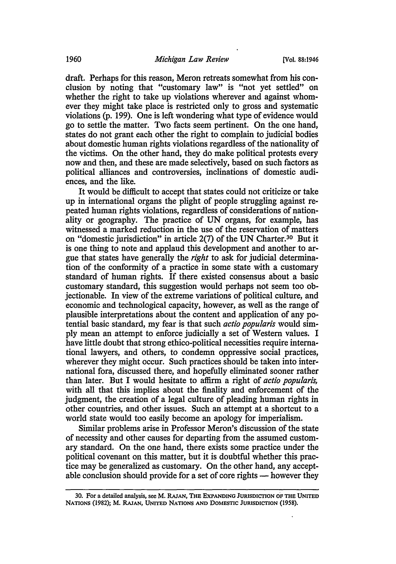draft. Perhaps for this reason, Meron retreats somewhat from his conclusion by noting that "customary law" is "not yet settled" on whether the right to take up violations wherever and against whomever they might take place is restricted only to gross and systematic violations (p. 199). One is left wondering what type of evidence would go to settle the matter. Two facts seem pertinent. On the one hand, states do not grant each other the right to complain to judicial bodies about domestic human rights violations regardless of the nationality of the victims. On the other hand, they do make political protests every now and then, and these are made selectively, based on such factors as political alliances and controversies, inclinations of domestic audiences, and the like.

It would be difficult to accept that states could not criticize or take up in international organs the plight of people struggling against repeated human rights violations, regardless of considerations of nationality or geography. The practice of UN organs, for example, has witnessed a marked reduction in the use of the reservation of matters on "domestic jurisdiction" in article 2(7) of the UN Charter.30 But it is one thing to note and applaud this development and another to argue that states have generally the *right* to ask for judicial determination of the conformity of a practice in some state with a customary standard of human rights. If there existed consensus about a basic customary standard, this suggestion would perhaps not seem too objectionable. In view of the extreme variations of political culture, and economic and technological capacity, however, as well as the range of plausible interpretations about the content and application of any potential basic standard, my fear is that such *actio popularis* would simply mean an attempt to enforce judicially a set of Western values. I have little doubt that strong ethico-political necessities require international lawyers, and others, to condemn oppressive social practices, wherever they might occur. Such practices should be taken into international fora, discussed there, and hopefully eliminated sooner rather than later. But I would hesitate to affirm a right of *actio popularis,*  with all that this implies about the finality and enforcement of the judgment, the creation of a legal culture of pleading human rights in other countries, and other issues. Such an attempt at a shortcut to a world state would too easily become an apology for imperialism.

Similar problems arise in Professor Meron's discussion of the state of necessity and other causes for departing from the assumed customary standard. On the one hand, there exists some practice under the political covenant on this matter, but it is doubtful whether this practice may be generalized as customary. On the other hand, any acceptable conclusion should provide for a set of core rights — however they

<sup>30.</sup> For a detailed analysis, see M. RAJAN, THE EXPANDING JURISDICTION OP THE UNITED NATIONS (1982); M. RAJAN, UNITED NATIONS AND DOMESTIC JURISDICTION (1958).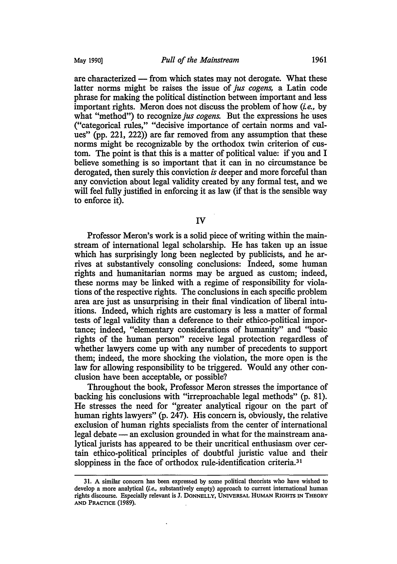are characterized — from which states may not derogate. What these latter norms might be raises the issue of *jus cogens,* a Latin code phrase for making the political distinction between important and less important rights. Meron does not discuss the problem of how  $(i.e., by)$ what "method") to recognize *jus cogens*. But the expressions he uses ("categorical rules," "decisive importance of certain norms and values" (pp. 221, 222)) are far removed from any assumption that these norms might be recognizable by the orthodox twin criterion of custom. The point is that this is a matter of political value: if you and I believe something is so important that it can in no circumstance be derogated, then surely this conviction *is* deeper and more forceful than any conviction about legal validity created by any formal test, and we will feel fully justified in enforcing it as law (if that is the sensible way to enforce it).

#### IV

Professor Meron's work is a solid piece of writing within the mainstream of international legal scholarship. He has taken up an issue which has surprisingly long been neglected by publicists, and he arrives at substantively consoling conclusions: Indeed, some human rights and humanitarian norms may be argued as custom; indeed, these norms may be linked with a regime of responsibility for violations of the respective rights. The conclusions in each specific problem area are just as unsurprising in their final vindication of liberal intuitions. Indeed, which rights are customary is less a matter of formal tests of legal validity than a deference to their ethico-political importance; indeed, "elementary considerations of humanity" and "basic rights of the human person" receive legal protection regardless of whether lawyers come up with any number of precedents to support them; indeed, the more shocking the violation, the more open is the law for allowing responsibility to be triggered. Would any other conclusion have been acceptable, or possible?

Throughout the book, Professor Meron stresses the importance of backing his conclusions with "irreproachable legal methods" (p. 81). He stresses the need for "greater analytical rigour on the part of human rights lawyers" (p. 247). His concern is, obviously, the relative exclusion of human rights specialists from the center of international legal debate - an exclusion grounded in what for the mainstream analytical jurists has appeared to be their uncritical enthusiasm over certain ethico-political principles of doubtful juristic value and their sloppiness in the face of orthodox rule-identification criteria.<sup>31</sup>

<sup>31.</sup> A similar concern has been expressed by some political theorists who have wished to develop a more analytical *(le.,* substantively empty) approach to current international human rights discourse. Especially relevant is J. DONNELLY, UNIVERSAL HUMAN RIGHTS IN THEORY AND PRACTICE (1989).